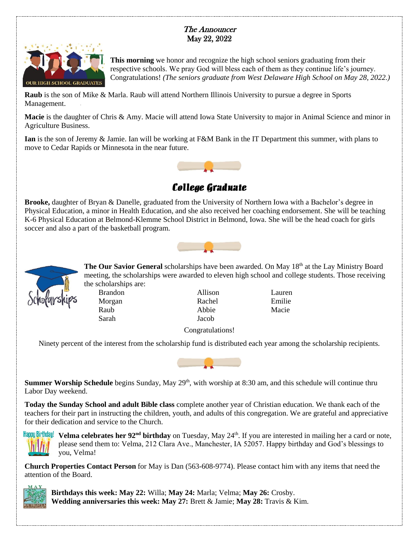## The Announcer May 22, 2022



**This morning** we honor and recognize the high school seniors graduating from their respective schools. We pray God will bless each of them as they continue life's journey. Congratulations! *(The seniors graduate from West Delaware High School on May 28, 2022.)*

**Raub** is the son of Mike & Marla. Raub will attend Northern Illinois University to pursue a degree in Sports Management.

**Macie** is the daughter of Chris & Amy. Macie will attend Iowa State University to major in Animal Science and minor in Agriculture Business.

**Ian** is the son of Jeremy & Jamie. Ian will be working at F&M Bank in the IT Department this summer, with plans to move to Cedar Rapids or Minnesota in the near future.



**College Graduate**

**Brooke,** daughter of Bryan & Danelle, graduated from the University of Northern Iowa with a Bachelor's degree in Physical Education, a minor in Health Education, and she also received her coaching endorsement. She will be teaching K-6 Physical Education at Belmond-Klemme School District in Belmond, Iowa. She will be the head coach for girls soccer and also a part of the basketball program.





**The Our Savior General** scholarships have been awarded. On May 18<sup>th</sup> at the Lay Ministry Board meeting, the scholarships were awarded to eleven high school and college students. Those receiving the scholarships are:

Sarah Jacob

Brandon Allison Lauren Morgan Rachel Emilie Raub Abbie Macie

Congratulations!

Ninety percent of the interest from the scholarship fund is distributed each year among the scholarship recipients.



**Summer Worship Schedule** begins Sunday, May 29<sup>th</sup>, with worship at 8:30 am, and this schedule will continue thru Labor Day weekend.

**Today the Sunday School and adult Bible class** complete another year of Christian education. We thank each of the teachers for their part in instructing the children, youth, and adults of this congregation. We are grateful and appreciative for their dedication and service to the Church.



**Velma celebrates her 92nd birthday** on Tuesday, May 24th. If you are interested in mailing her a card or note, please send them to: Velma, 212 Clara Ave., Manchester, IA 52057. Happy birthday and God's blessings to you, Velma!

**Church Properties Contact Person** for May is Dan (563-608-9774). Please contact him with any items that need the attention of the Board.



**Birthdays this week: May 22:** Willa; **May 24:** Marla; Velma; **May 26:** Crosby. **Wedding anniversaries this week: May 27:** Brett & Jamie; **May 28:** Travis & Kim.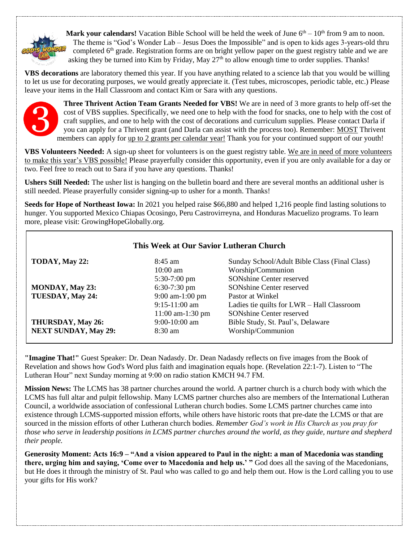

**Mark your calendars!** Vacation Bible School will be held the week of June  $6<sup>th</sup> - 10<sup>th</sup>$  from 9 am to noon. The theme is "God's Wonder Lab – Jesus Does the Impossible" and is open to kids ages 3-years-old thru completed  $6<sup>th</sup>$  grade. Registration forms are on bright yellow paper on the guest registry table and we are asking they be turned into Kim by Friday, May 27<sup>th</sup> to allow enough time to order supplies. Thanks!

**VBS decorations** are laboratory themed this year. If you have anything related to a science lab that you would be willing to let us use for decorating purposes, we would greatly appreciate it. (Test tubes, microscopes, periodic table, etc.) Please leave your items in the Hall Classroom and contact Kim or Sara with any questions.



 $\overline{\Gamma}$ 

**Three Thrivent Action Team Grants Needed for VBS!** We are in need of 3 more grants to help off-set the cost of VBS supplies. Specifically, we need one to help with the food for snacks, one to help with the cost of craft supplies, and one to help with the cost of decorations and curriculum supplies. Please contact Darla if you can apply for a Thrivent grant (and Darla can assist with the process too). Remember: MOST Thrivent members can apply for up to 2 grants per calendar year! Thank you for your continued support of our youth!

**VBS Volunteers Needed:** A sign-up sheet for volunteers is on the guest registry table. We are in need of more volunteers to make this year's VBS possible! Please prayerfully consider this opportunity, even if you are only available for a day or two. Feel free to reach out to Sara if you have any questions. Thanks!

**Ushers Still Needed:** The usher list is hanging on the bulletin board and there are several months an additional usher is still needed. Please prayerfully consider signing-up to usher for a month. Thanks!

**Seeds for Hope of Northeast Iowa:** In 2021 you helped raise \$66,880 and helped 1,216 people find lasting solutions to hunger. You supported Mexico Chiapas Ocosingo, Peru Castrovirreyna, and Honduras Macuelizo programs. To learn more, please visit: GrowingHopeGlobally.org.

| This Week at Our Savior Lutheran Church |                       |                                               |
|-----------------------------------------|-----------------------|-----------------------------------------------|
| TODAY, May 22:                          | $8:45 \text{ am}$     | Sunday School/Adult Bible Class (Final Class) |
|                                         | $10:00$ am            | Worship/Communion                             |
|                                         | $5:30-7:00$ pm        | <b>SONshine Center reserved</b>               |
| <b>MONDAY, May 23:</b>                  | $6:30-7:30$ pm        | <b>SONshine Center reserved</b>               |
| TUESDAY, May 24:                        | 9:00 am-1:00 pm       | Pastor at Winkel                              |
|                                         | $9:15-11:00$ am       | Ladies tie quilts for LWR - Hall Classroom    |
|                                         | $11:00$ am- $1:30$ pm | <b>SONshine Center reserved</b>               |
| THURSDAY, May 26:                       | $9:00-10:00$ am       | Bible Study, St. Paul's, Delaware             |
| <b>NEXT SUNDAY, May 29:</b>             | $8:30 \text{ am}$     | Worship/Communion                             |

**"Imagine That!"** Guest Speaker: Dr. Dean Nadasdy. Dr. Dean Nadasdy reflects on five images from the Book of Revelation and shows how God's Word plus faith and imagination equals hope. (Revelation 22:1-7). Listen to "The Lutheran Hour" next Sunday morning at 9:00 on radio station KMCH 94.7 FM.

**Mission News:** The LCMS has 38 partner churches around the world. A partner church is a church body with which the LCMS has full altar and pulpit fellowship. Many LCMS partner churches also are members of the International Lutheran Council, a worldwide association of confessional Lutheran church bodies. Some LCMS partner churches came into existence through LCMS-supported mission efforts, while others have historic roots that pre-date the LCMS or that are sourced in the mission efforts of other Lutheran church bodies. *Remember God's work in His Church as you pray for those who serve in leadership positions in LCMS partner churches around the world, as they guide, nurture and shepherd their people.*

**Generosity Moment: Acts 16:9 – "And a vision appeared to Paul in the night: a man of Macedonia was standing there, urging him and saying, 'Come over to Macedonia and help us.' "** God does all the saving of the Macedonians, but He does it through the ministry of St. Paul who was called to go and help them out. How is the Lord calling you to use your gifts for His work?